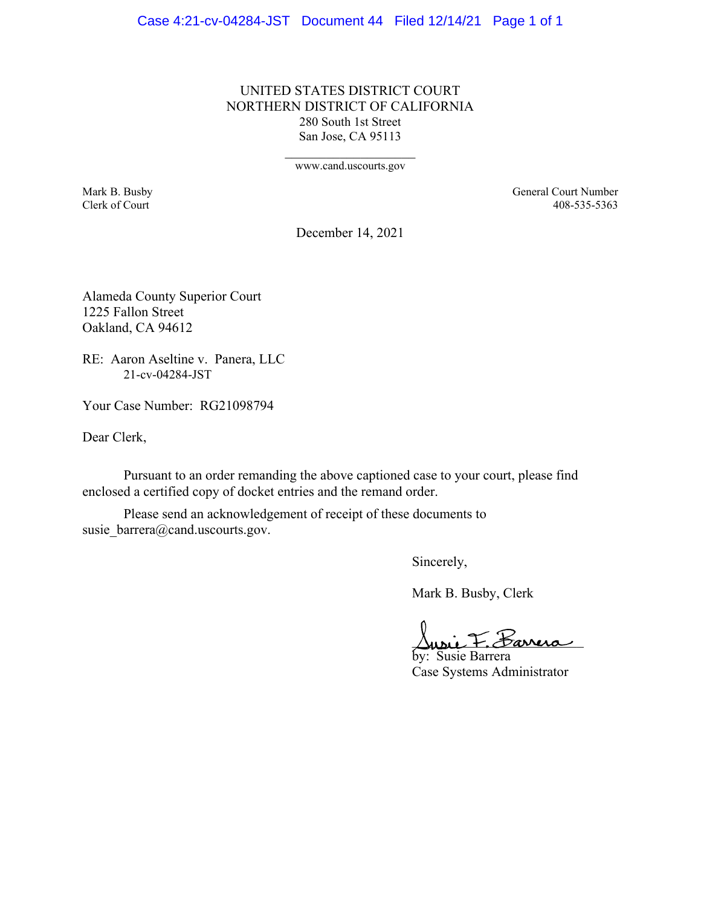#### Case 4:21-cv-04284-JST Document 44 Filed 12/14/21 Page 1 of 1

UNITED STATES DISTRICT COURT NORTHERN DISTRICT OF CALIFORNIA 280 South 1st Street San Jose, CA 95113

www.cand.uscourts.gov

Mark B. Busby General Court Number Clerk of Court 408-535-5363

December 14, 2021

Alameda County Superior Court 1225 Fallon Street Oakland, CA 94612

RE: Aaron Aseltine v. Panera, LLC 21-cv-04284-JST

Your Case Number: RG21098794

Dear Clerk,

Pursuant to an order remanding the above captioned case to your court, please find enclosed a certified copy of docket entries and the remand order.

Please send an acknowledgement of receipt of these documents to susie\_barrera@cand.uscourts.gov.

Sincerely,

Mark B. Busby, Clerk

usie F. <del>Sarrera</del>

by: Susie Barrera Case Systems Administrator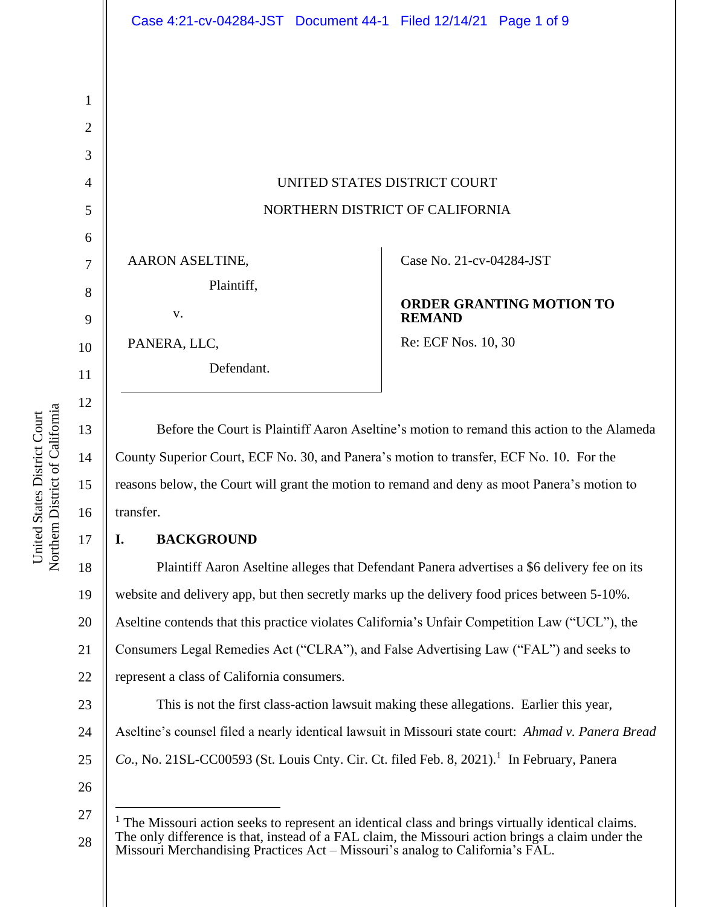UNITED STATES DISTRICT COURT NORTHERN DISTRICT OF CALIFORNIA AARON ASELTINE, Plaintiff, v. Case No. [21-cv-04284-JST](https://cand-ecf.sso.dcn/cgi-bin/DktRpt.pl?379786)  **ORDER GRANTING MOTION TO** 

**REMAND**

Re: ECF Nos. 10, 30

Before the Court is Plaintiff Aaron Aseltine's motion to remand this action to the Alameda County Superior Court, ECF No. 30, and Panera's motion to transfer, ECF No. 10. For the reasons below, the Court will grant the motion to remand and deny as moot Panera's motion to transfer.

## **I. BACKGROUND**

PANERA, LLC,

Defendant.

18 19 20 21 22 Plaintiff Aaron Aseltine alleges that Defendant Panera advertises a \$6 delivery fee on its website and delivery app, but then secretly marks up the delivery food prices between 5-10%. Aseltine contends that this practice violates California's Unfair Competition Law ("UCL"), the Consumers Legal Remedies Act ("CLRA"), and False Advertising Law ("FAL") and seeks to represent a class of California consumers.

23 24 25 This is not the first class-action lawsuit making these allegations. Earlier this year, Aseltine's counsel filed a nearly identical lawsuit in Missouri state court: *Ahmad v. Panera Bread*  Co., No. 21SL-CC00593 (St. Louis Cnty. Cir. Ct. filed Feb. 8, 2021).<sup>1</sup> In February, Panera

26

1

2

3

4

5

6

7

8

9

10

11

12

13

14

15

16

<sup>27</sup> 28  $<sup>1</sup>$  The Missouri action seeks to represent an identical class and brings virtually identical claims.</sup> The only difference is that, instead of a FAL claim, the Missouri action brings a claim under the Missouri Merchandising Practices Act – Missouri's analog to California's FAL.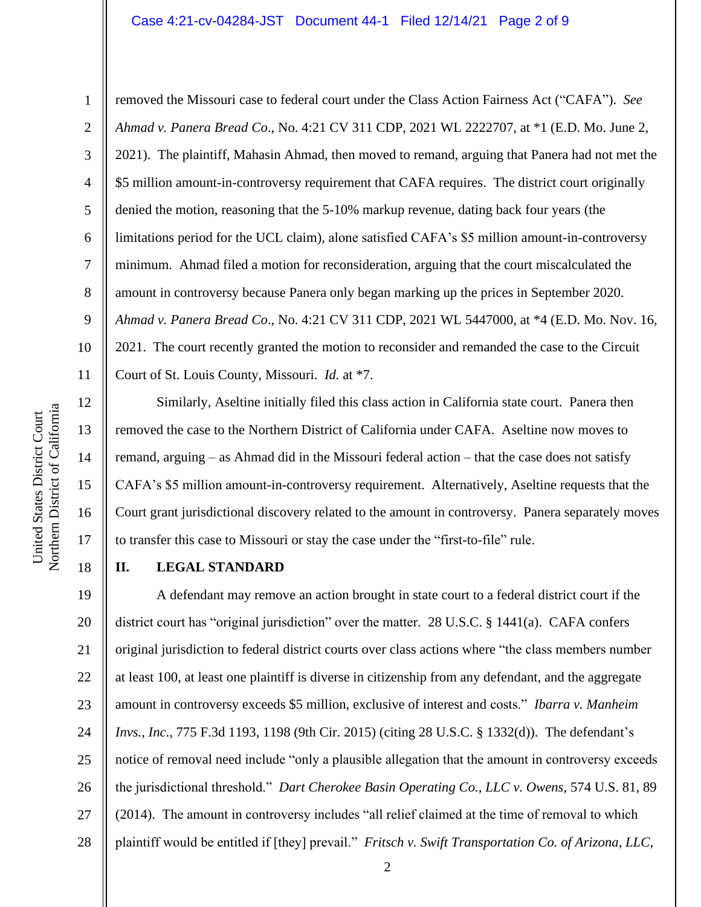#### Case 4:21-cv-04284-JST Document 44-1 Filed 12/14/21 Page 2 of 9

1

2

3

4

5

6

7

8

9

10

11

12

13

14

15

16

17

18

removed the Missouri case to federal court under the Class Action Fairness Act ("CAFA"). *See Ahmad v. Panera Bread Co*., No. 4:21 CV 311 CDP, 2021 WL 2222707, at \*1 (E.D. Mo. June 2, 2021). The plaintiff, Mahasin Ahmad, then moved to remand, arguing that Panera had not met the \$5 million amount-in-controversy requirement that CAFA requires. The district court originally denied the motion, reasoning that the 5-10% markup revenue, dating back four years (the limitations period for the UCL claim), alone satisfied CAFA's \$5 million amount-in-controversy minimum. Ahmad filed a motion for reconsideration, arguing that the court miscalculated the amount in controversy because Panera only began marking up the prices in September 2020. *Ahmad v. Panera Bread Co*., No. 4:21 CV 311 CDP, 2021 WL 5447000, at \*4 (E.D. Mo. Nov. 16, 2021. The court recently granted the motion to reconsider and remanded the case to the Circuit Court of St. Louis County, Missouri. *Id.* at \*7.

Similarly, Aseltine initially filed this class action in California state court. Panera then removed the case to the Northern District of California under CAFA. Aseltine now moves to remand, arguing – as Ahmad did in the Missouri federal action – that the case does not satisfy CAFA's \$5 million amount-in-controversy requirement. Alternatively, Aseltine requests that the Court grant jurisdictional discovery related to the amount in controversy. Panera separately moves to transfer this case to Missouri or stay the case under the "first-to-file" rule.

## **II. LEGAL STANDARD**

19 20 21 22 23 24 25 26 27 28 A defendant may remove an action brought in state court to a federal district court if the district court has "original jurisdiction" over the matter. 28 U.S.C. § 1441(a). CAFA confers original jurisdiction to federal district courts over class actions where "the class members number at least 100, at least one plaintiff is diverse in citizenship from any defendant, and the aggregate amount in controversy exceeds \$5 million, exclusive of interest and costs." *Ibarra v. Manheim Invs., Inc*., 775 F.3d 1193, 1198 (9th Cir. 2015) (citing 28 U.S.C. § 1332(d)). The defendant's notice of removal need include "only a plausible allegation that the amount in controversy exceeds the jurisdictional threshold." *Dart Cherokee Basin Operating Co., LLC v. Owens*, 574 U.S. 81, 89 (2014). The amount in controversy includes "all relief claimed at the time of removal to which plaintiff would be entitled if [they] prevail." *Fritsch v. Swift Transportation Co. of Arizona, LLC*,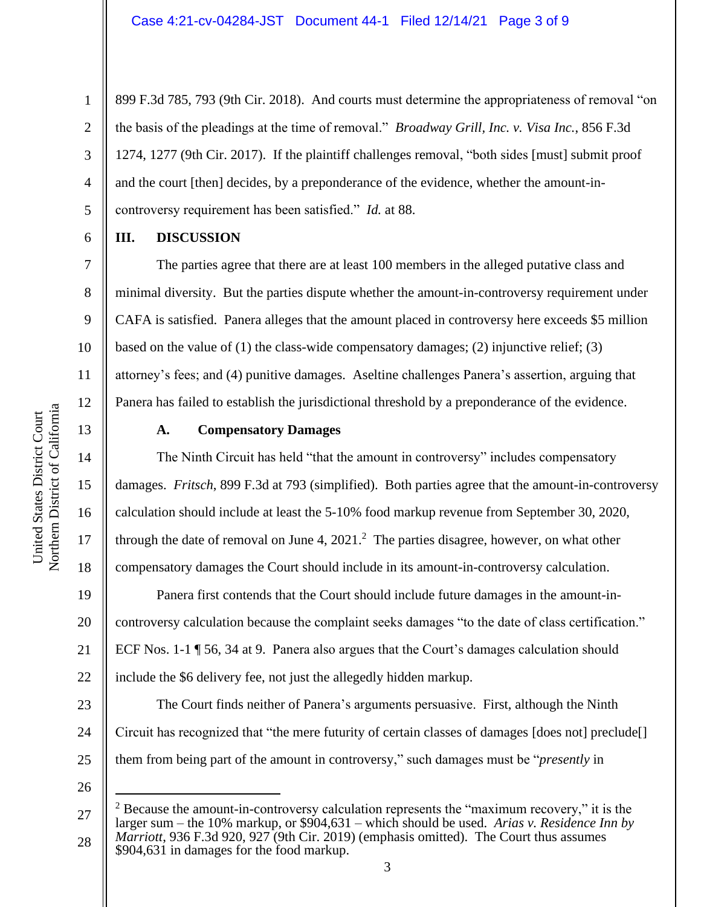899 F.3d 785, 793 (9th Cir. 2018). And courts must determine the appropriateness of removal "on the basis of the pleadings at the time of removal." *Broadway Grill, Inc. v. Visa Inc.*, 856 F.3d 1274, 1277 (9th Cir. 2017). If the plaintiff challenges removal, "both sides [must] submit proof and the court [then] decides, by a preponderance of the evidence, whether the amount-incontroversy requirement has been satisfied." *Id.* at 88.

### **III. DISCUSSION**

The parties agree that there are at least 100 members in the alleged putative class and minimal diversity. But the parties dispute whether the amount-in-controversy requirement under CAFA is satisfied. Panera alleges that the amount placed in controversy here exceeds \$5 million based on the value of  $(1)$  the class-wide compensatory damages;  $(2)$  injunctive relief;  $(3)$ attorney's fees; and (4) punitive damages. Aseltine challenges Panera's assertion, arguing that Panera has failed to establish the jurisdictional threshold by a preponderance of the evidence.

# 13

14

15

16

17

18

1

2

3

4

5

6

7

8

9

10

11

12

## **A. Compensatory Damages**

The Ninth Circuit has held "that the amount in controversy" includes compensatory damages. *Fritsch*, 899 F.3d at 793 (simplified). Both parties agree that the amount-in-controversy calculation should include at least the 5-10% food markup revenue from September 30, 2020, through the date of removal on June 4, 2021. 2 The parties disagree, however, on what other compensatory damages the Court should include in its amount-in-controversy calculation.

19 20 21 22 Panera first contends that the Court should include future damages in the amount-incontroversy calculation because the complaint seeks damages "to the date of class certification." ECF Nos. 1-1 ¶ 56, 34 at 9. Panera also argues that the Court's damages calculation should include the \$6 delivery fee, not just the allegedly hidden markup.

23 24 25 The Court finds neither of Panera's arguments persuasive. First, although the Ninth Circuit has recognized that "the mere futurity of certain classes of damages [does not] preclude[] them from being part of the amount in controversy," such damages must be "*presently* in

<sup>27</sup> 28  $2$  Because the amount-in-controversy calculation represents the "maximum recovery," it is the larger sum – the 10% markup, or \$904,631 – which should be used. *Arias v. Residence Inn by Marriott*, 936 F.3d 920, 927 (9th Cir. 2019) (emphasis omitted). The Court thus assumes \$904,631 in damages for the food markup.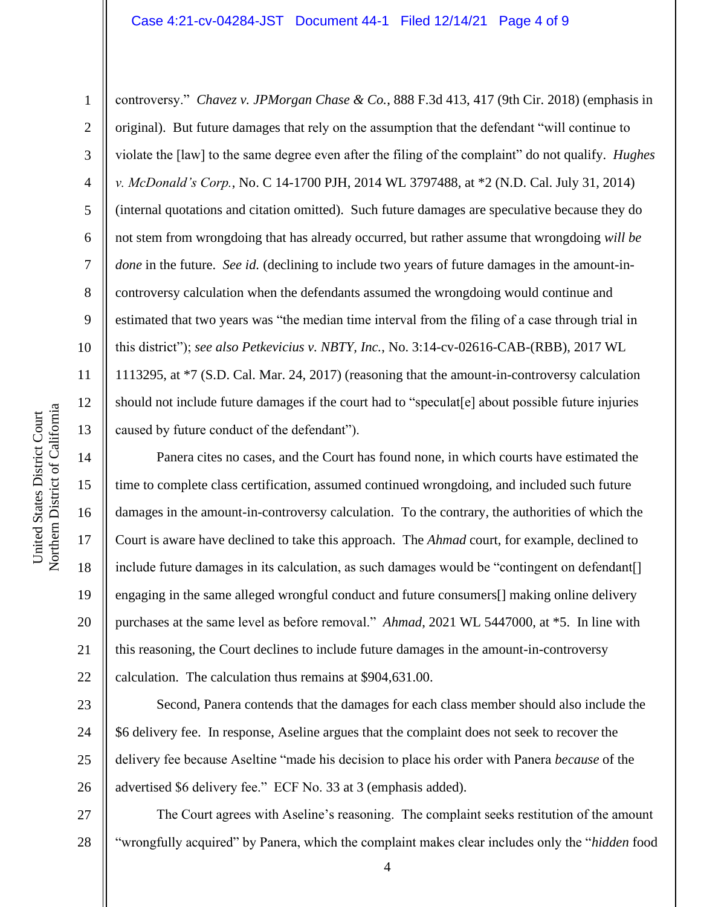#### Case 4:21-cv-04284-JST Document 44-1 Filed 12/14/21 Page 4 of 9

4 6 7 10 controversy." *Chavez v. JPMorgan Chase & Co.*, 888 F.3d 413, 417 (9th Cir. 2018) (emphasis in original). But future damages that rely on the assumption that the defendant "will continue to violate the [law] to the same degree even after the filing of the complaint" do not qualify. *Hughes v. McDonald's Corp.*, No. C 14-1700 PJH, 2014 WL 3797488, at \*2 (N.D. Cal. July 31, 2014) (internal quotations and citation omitted). Such future damages are speculative because they do not stem from wrongdoing that has already occurred, but rather assume that wrongdoing *will be done* in the future. *See id.* (declining to include two years of future damages in the amount-incontroversy calculation when the defendants assumed the wrongdoing would continue and estimated that two years was "the median time interval from the filing of a case through trial in this district"); *see also Petkevicius v. NBTY, Inc.*, No. 3:14-cv-02616-CAB-(RBB), 2017 WL 1113295, at \*7 (S.D. Cal. Mar. 24, 2017) (reasoning that the amount-in-controversy calculation should not include future damages if the court had to "speculat [e] about possible future injuries caused by future conduct of the defendant").

Panera cites no cases, and the Court has found none, in which courts have estimated the time to complete class certification, assumed continued wrongdoing, and included such future damages in the amount-in-controversy calculation. To the contrary, the authorities of which the Court is aware have declined to take this approach. The *Ahmad* court, for example, declined to include future damages in its calculation, as such damages would be "contingent on defendant[] engaging in the same alleged wrongful conduct and future consumers[] making online delivery purchases at the same level as before removal." *Ahmad*, 2021 WL 5447000, at \*5. In line with this reasoning, the Court declines to include future damages in the amount-in-controversy calculation. The calculation thus remains at \$904,631.00.

Second, Panera contends that the damages for each class member should also include the \$6 delivery fee. In response, Aseline argues that the complaint does not seek to recover the delivery fee because Aseltine "made his decision to place his order with Panera *because* of the advertised \$6 delivery fee." ECF No. 33 at 3 (emphasis added).

27 28 The Court agrees with Aseline's reasoning. The complaint seeks restitution of the amount "wrongfully acquired" by Panera, which the complaint makes clear includes only the "*hidden* food

1

2

3

5

8

9

11

12

13

14

15

16

17

18

19

20

21

22

23

24

25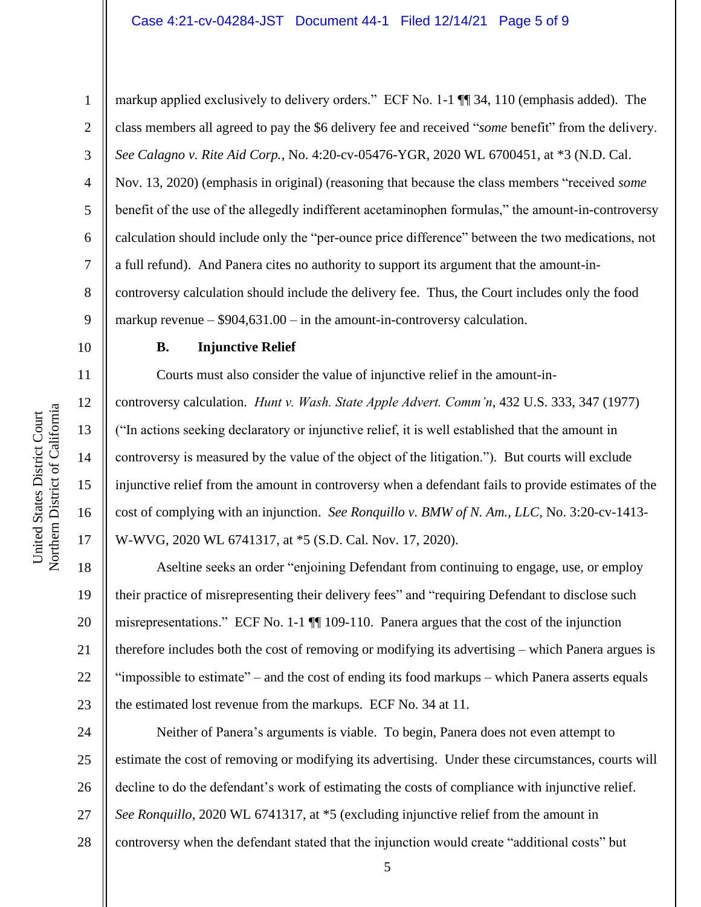markup applied exclusively to delivery orders." ECF No. 1-1 ¶¶ 34, 110 (emphasis added). The class members all agreed to pay the \$6 delivery fee and received "*some* benefit" from the delivery. *See Calagno v. Rite Aid Corp.*, No. 4:20-cv-05476-YGR, 2020 WL 6700451, at \*3 (N.D. Cal. Nov. 13, 2020) (emphasis in original) (reasoning that because the class members "received *some* benefit of the use of the allegedly indifferent acetaminophen formulas," the amount-in-controversy calculation should include only the "per-ounce price difference" between the two medications, not a full refund). And Panera cites no authority to support its argument that the amount-incontroversy calculation should include the delivery fee. Thus, the Court includes only the food markup revenue – \$904,631.00 – in the amount-in-controversy calculation.

#### **B. Injunctive Relief**

Courts must also consider the value of injunctive relief in the amount-incontroversy calculation. *Hunt v. Wash. State Apple Advert. Comm'n*, 432 U.S. 333, 347 (1977) ("In actions seeking declaratory or injunctive relief, it is well established that the amount in controversy is measured by the value of the object of the litigation."). But courts will exclude injunctive relief from the amount in controversy when a defendant fails to provide estimates of the cost of complying with an injunction. *See Ronquillo v. BMW of N. Am., LLC*, No. 3:20-cv-1413- W-WVG, 2020 WL 6741317, at \*5 (S.D. Cal. Nov. 17, 2020).

18 19 20 21 22 23 Aseltine seeks an order "enjoining Defendant from continuing to engage, use, or employ their practice of misrepresenting their delivery fees" and "requiring Defendant to disclose such misrepresentations." ECF No. 1-1 ¶¶ 109-110. Panera argues that the cost of the injunction therefore includes both the cost of removing or modifying its advertising – which Panera argues is "impossible to estimate" – and the cost of ending its food markups – which Panera asserts equals the estimated lost revenue from the markups. ECF No. 34 at 11.

24 25 26 27 28 Neither of Panera's arguments is viable. To begin, Panera does not even attempt to estimate the cost of removing or modifying its advertising. Under these circumstances, courts will decline to do the defendant's work of estimating the costs of compliance with injunctive relief. *See Ronquillo*, 2020 WL 6741317, at \*5 (excluding injunctive relief from the amount in controversy when the defendant stated that the injunction would create "additional costs" but

1

2

3

4

5

6

7

8

9

10

11

12

13

14

15

16

17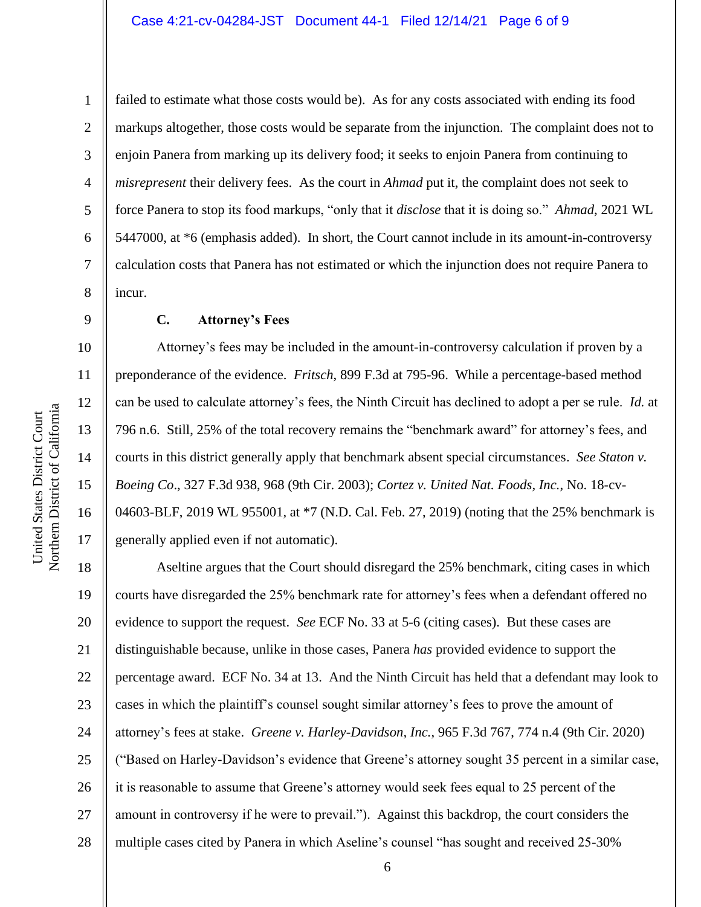12

13

14

15

16

17

1

failed to estimate what those costs would be). As for any costs associated with ending its food markups altogether, those costs would be separate from the injunction. The complaint does not to enjoin Panera from marking up its delivery food; it seeks to enjoin Panera from continuing to *misrepresent* their delivery fees. As the court in *Ahmad* put it, the complaint does not seek to force Panera to stop its food markups, "only that it *disclose* that it is doing so." *Ahmad*, 2021 WL 5447000, at \*6 (emphasis added). In short, the Court cannot include in its amount-in-controversy calculation costs that Panera has not estimated or which the injunction does not require Panera to incur.

**C. Attorney's Fees**

Attorney's fees may be included in the amount-in-controversy calculation if proven by a preponderance of the evidence. *Fritsch*, 899 F.3d at 795-96. While a percentage-based method can be used to calculate attorney's fees, the Ninth Circuit has declined to adopt a per se rule. *Id.* at 796 n.6. Still, 25% of the total recovery remains the "benchmark award" for attorney's fees, and courts in this district generally apply that benchmark absent special circumstances. *See Staton v. Boeing Co*., 327 F.3d 938, 968 (9th Cir. 2003); *Cortez v. United Nat. Foods, Inc.*, No. 18-cv-04603-BLF, 2019 WL 955001, at \*7 (N.D. Cal. Feb. 27, 2019) (noting that the 25% benchmark is generally applied even if not automatic).

18 19 20 21 22 23 24 25 26 27 28 Aseltine argues that the Court should disregard the 25% benchmark, citing cases in which courts have disregarded the 25% benchmark rate for attorney's fees when a defendant offered no evidence to support the request. *See* ECF No. 33 at 5-6 (citing cases). But these cases are distinguishable because, unlike in those cases, Panera *has* provided evidence to support the percentage award. ECF No. 34 at 13. And the Ninth Circuit has held that a defendant may look to cases in which the plaintiff's counsel sought similar attorney's fees to prove the amount of attorney's fees at stake. *Greene v. Harley-Davidson, Inc.*, 965 F.3d 767, 774 n.4 (9th Cir. 2020) ("Based on Harley-Davidson's evidence that Greene's attorney sought 35 percent in a similar case, it is reasonable to assume that Greene's attorney would seek fees equal to 25 percent of the amount in controversy if he were to prevail."). Against this backdrop, the court considers the multiple cases cited by Panera in which Aseline's counsel "has sought and received 25-30%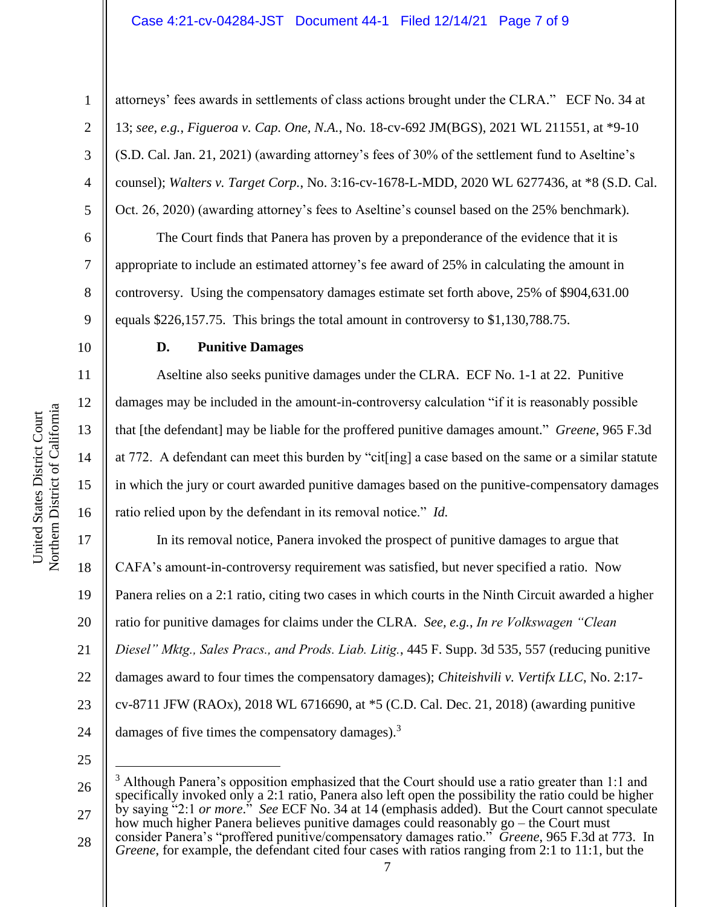#### Case 4:21-cv-04284-JST Document 44-1 Filed 12/14/21 Page 7 of 9

1

2

3

4

5

6

7

8

9

10

11

12

13

14

15

16

attorneys' fees awards in settlements of class actions brought under the CLRA." ECF No. 34 at 13; *see, e.g.*, *Figueroa v. Cap. One, N.A.*, No. 18-cv-692 JM(BGS), 2021 WL 211551, at \*9-10 (S.D. Cal. Jan. 21, 2021) (awarding attorney's fees of 30% of the settlement fund to Aseltine's counsel); *Walters v. Target Corp.*, No. 3:16-cv-1678-L-MDD, 2020 WL 6277436, at \*8 (S.D. Cal. Oct. 26, 2020) (awarding attorney's fees to Aseltine's counsel based on the 25% benchmark).

The Court finds that Panera has proven by a preponderance of the evidence that it is appropriate to include an estimated attorney's fee award of 25% in calculating the amount in controversy. Using the compensatory damages estimate set forth above, 25% of \$904,631.00 equals \$226,157.75. This brings the total amount in controversy to \$1,130,788.75.

#### **D. Punitive Damages**

Aseltine also seeks punitive damages under the CLRA. ECF No. 1-1 at 22. Punitive damages may be included in the amount-in-controversy calculation "if it is reasonably possible that [the defendant] may be liable for the proffered punitive damages amount." *Greene*, 965 F.3d at 772. A defendant can meet this burden by "cit[ing] a case based on the same or a similar statute in which the jury or court awarded punitive damages based on the punitive-compensatory damages ratio relied upon by the defendant in its removal notice." *Id.* 

17 18 19 20 21 22 23 24 In its removal notice, Panera invoked the prospect of punitive damages to argue that CAFA's amount-in-controversy requirement was satisfied, but never specified a ratio. Now Panera relies on a 2:1 ratio, citing two cases in which courts in the Ninth Circuit awarded a higher ratio for punitive damages for claims under the CLRA. *See, e.g.*, *In re Volkswagen "Clean Diesel" Mktg., Sales Pracs., and Prods. Liab. Litig.*, 445 F. Supp. 3d 535, 557 (reducing punitive damages award to four times the compensatory damages); *Chiteishvili v. Vertifx LLC*, No. 2:17 cv-8711 JFW (RAOx), 2018 WL 6716690, at \*5 (C.D. Cal. Dec. 21, 2018) (awarding punitive damages of five times the compensatory damages). $3$ 

25

28 consider Panera's "proffered punitive/compensatory damages ratio." *Greene*, 965 F.3d at 773. In *Greene*, for example, the defendant cited four cases with ratios ranging from 2:1 to 11:1, but the

<sup>26</sup> 27  $3$  Although Panera's opposition emphasized that the Court should use a ratio greater than 1:1 and specifically invoked only a 2:1 ratio, Panera also left open the possibility the ratio could be higher by saying "2:1 *or more*." *See* ECF No. 34 at 14 (emphasis added). But the Court cannot speculate how much higher Panera believes punitive damages could reasonably go – the Court must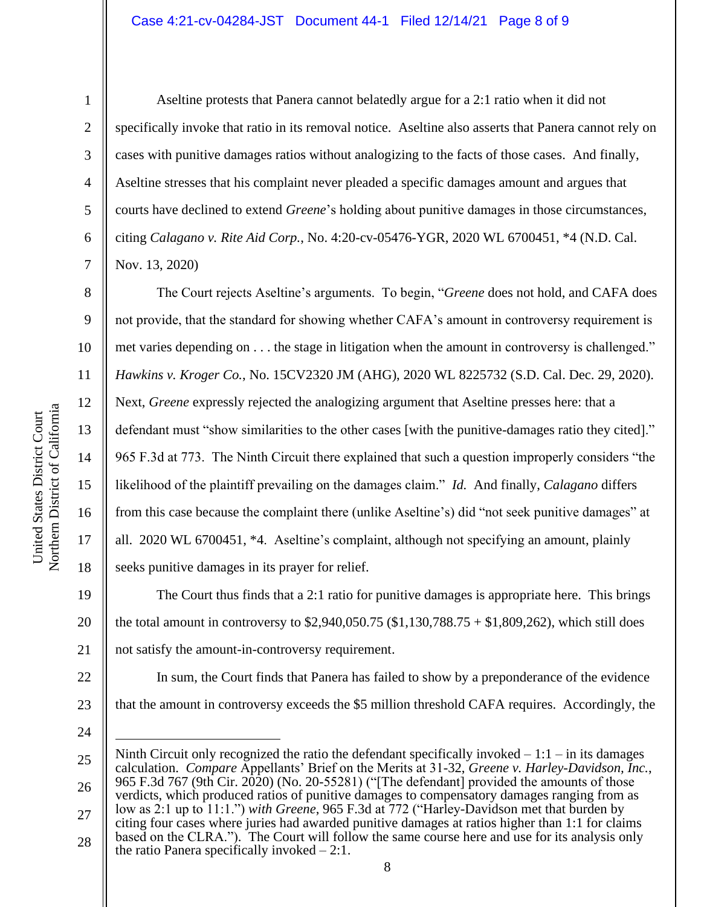4

5

6

7

8

9

10

11

12

13

14

15

16

17

18

1

Aseltine protests that Panera cannot belatedly argue for a 2:1 ratio when it did not specifically invoke that ratio in its removal notice. Aseltine also asserts that Panera cannot rely on cases with punitive damages ratios without analogizing to the facts of those cases. And finally, Aseltine stresses that his complaint never pleaded a specific damages amount and argues that courts have declined to extend *Greene*'s holding about punitive damages in those circumstances, citing *Calagano v. Rite Aid Corp.*, No. 4:20-cv-05476-YGR, 2020 WL 6700451, \*4 (N.D. Cal. Nov. 13, 2020)

The Court rejects Aseltine's arguments. To begin, "*Greene* does not hold, and CAFA does not provide, that the standard for showing whether CAFA's amount in controversy requirement is met varies depending on . . . the stage in litigation when the amount in controversy is challenged." *Hawkins v. Kroger Co.*, No. 15CV2320 JM (AHG), 2020 WL 8225732 (S.D. Cal. Dec. 29, 2020). Next, *Greene* expressly rejected the analogizing argument that Aseltine presses here: that a defendant must "show similarities to the other cases [with the punitive-damages ratio they cited]." 965 F.3d at 773. The Ninth Circuit there explained that such a question improperly considers "the likelihood of the plaintiff prevailing on the damages claim." *Id.* And finally, *Calagano* differs from this case because the complaint there (unlike Aseltine's) did "not seek punitive damages" at all. 2020 WL 6700451, \*4. Aseltine's complaint, although not specifying an amount, plainly seeks punitive damages in its prayer for relief.

19 20 21 The Court thus finds that a 2:1 ratio for punitive damages is appropriate here. This brings the total amount in controversy to \$2,940,050.75 (\$1,130,788.75 + \$1,809,262), which still does not satisfy the amount-in-controversy requirement.

In sum, the Court finds that Panera has failed to show by a preponderance of the evidence that the amount in controversy exceeds the \$5 million threshold CAFA requires. Accordingly, the

24

23

<sup>25</sup> 26 27 Ninth Circuit only recognized the ratio the defendant specifically invoked  $-1:1 -$  in its damages calculation. *Compare* Appellants' Brief on the Merits at 31-32, *Greene v. Harley-Davidson, Inc.*, 965 F.3d 767 (9th Cir. 2020) (No. 20-55281) ("[The defendant] provided the amounts of those verdicts, which produced ratios of punitive damages to compensatory damages ranging from as low as 2:1 up to 11:1.") *with Greene*, 965 F.3d at 772 ("Harley-Davidson met that burden by citing four cases where juries had awarded punitive damages at ratios higher than 1:1 for claims

<sup>28</sup> based on the CLRA."). The Court will follow the same course here and use for its analysis only the ratio Panera specifically invoked  $-2:1$ .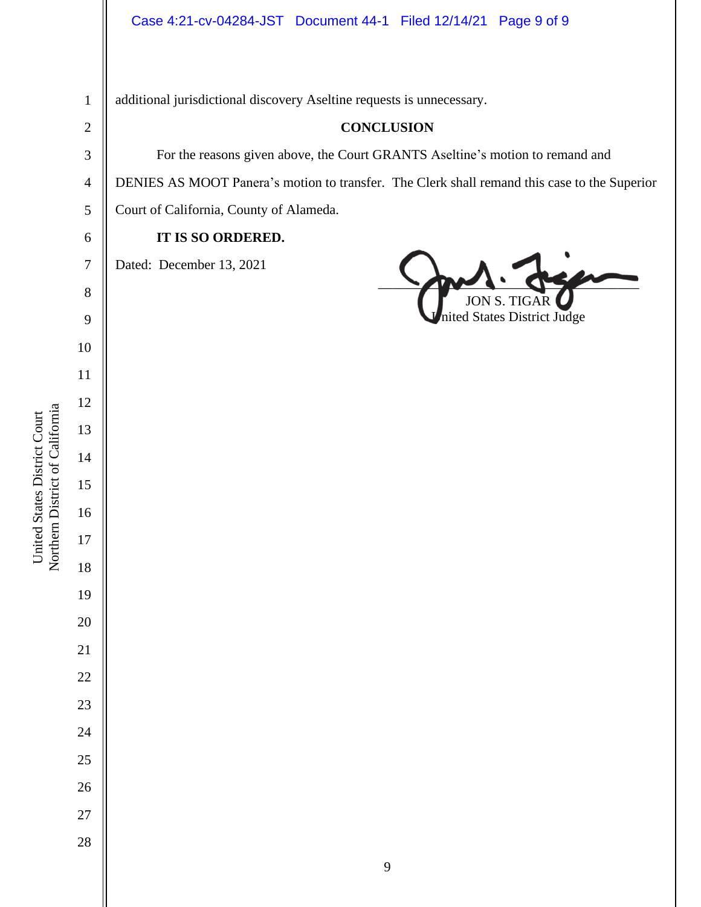additional jurisdictional discovery Aseltine requests is unnecessary.

Northern District of California Northern District of California United States District Court United States District Court

 **CONCLUSION** For the reasons given above, the Court GRANTS Aseltine's motion to remand and DENIES AS MOOT Panera's motion to transfer. The Clerk shall remand this case to the Superior Court of California, County of Alameda. **IT IS SO ORDERED.** Dated: December 13, 2021  $\sim$ JON S. nited States District Judge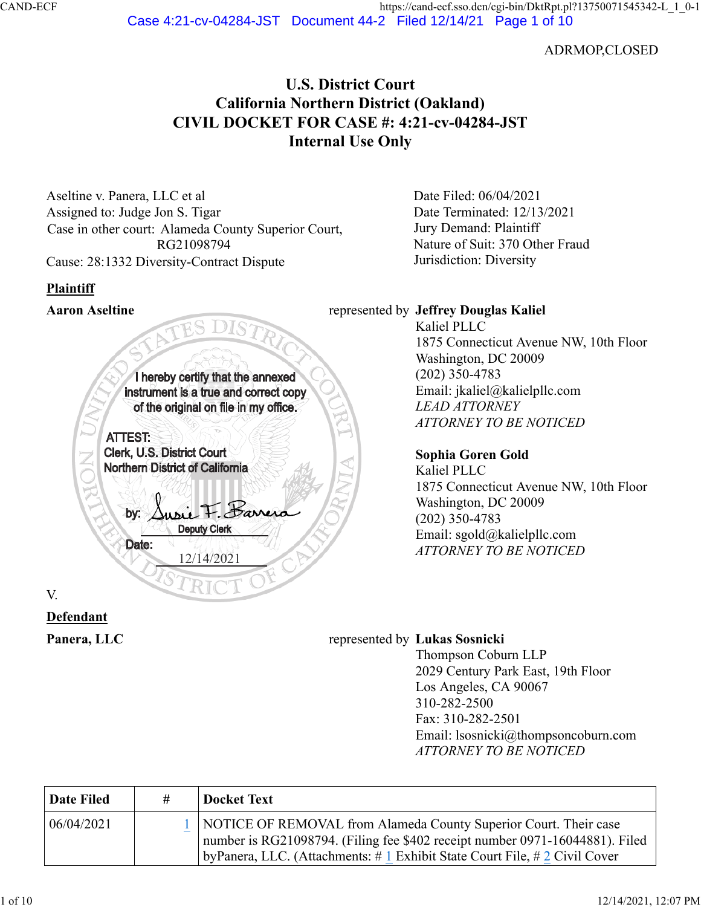ADRMOP,CLOSED

# **U.S. District Court California Northern District (Oakland) CIVIL DOCKET FOR CASE #: 4:21-cv-04284-JST Internal Use Only**

Aseltine v. Panera, LLC et al Assigned to: Judge Jon S. Tigar Case in other court: Alameda County Superior Court, RG21098794 Cause: 28:1332 Diversity-Contract Dispute

# **Plaintiff**

I hereby certify that the annexed instrument is a true and correct copy of the original on file in my office. ATTEST: Clerk, U.S. District Court Northern District of California I sie F. Sarrer by: Deputy Clerk Date: 12/14/2021

V.

# **Defendant**

Date Filed: 06/04/2021 Date Terminated: 12/13/2021 Jury Demand: Plaintiff Nature of Suit: 370 Other Fraud Jurisdiction: Diversity

## **Aaron Aseltine** represented by **Jeffrey Douglas Kaliel**

Kaliel PLLC 1875 Connecticut Avenue NW, 10th Floor Washington, DC 20009 (202) 350-4783 Email: jkaliel@kalielpllc.com *LEAD ATTORNEY ATTORNEY TO BE NOTICED*

## **Sophia Goren Gold**

Kaliel PLLC 1875 Connecticut Avenue NW, 10th Floor Washington, DC 20009 (202) 350-4783 Email: sgold@kalielpllc.com *ATTORNEY TO BE NOTICED*

## **Panera, LLC** represented by **Lukas Sosnicki**

Thompson Coburn LLP 2029 Century Park East, 19th Floor Los Angeles, CA 90067 310-282-2500 Fax: 310-282-2501 Email: lsosnicki@thompsoncoburn.com *ATTORNEY TO BE NOTICED*

| Date Filed | # | <b>Docket Text</b>                                                                                                                                                                                                                        |
|------------|---|-------------------------------------------------------------------------------------------------------------------------------------------------------------------------------------------------------------------------------------------|
| 06/04/2021 |   | 1   NOTICE OF REMOVAL from Alameda County Superior Court. Their case<br>number is RG21098794. (Filing fee \$402 receipt number 0971-16044881). Filed<br>by Panera, LLC. (Attachments: $\# 1$ Exhibit State Court File, $\# 2$ Civil Cover |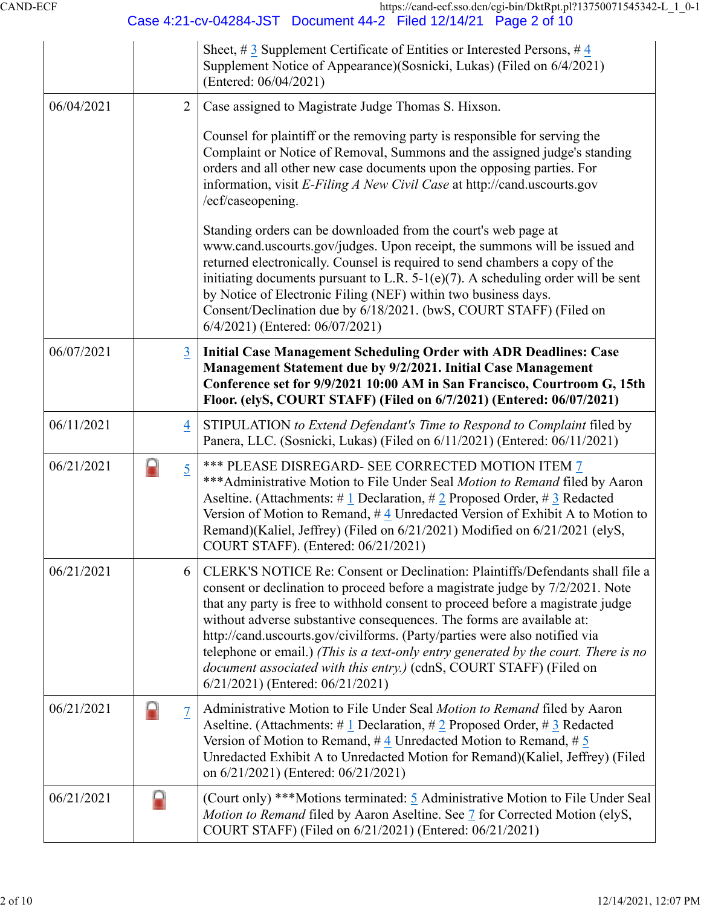CAND-ECF https://cand-ecf.sso.dcn/cgi-bin/DktRpt.pl?13750071545342-L\_1\_0-1

|            |                     | Case 4:21-cv-04284-JST  Document 44-2  Filed 12/14/21  Page 2 of 10                                                                                                                                                                                                                                                                                                                                                                                                                                                                                                                                        |
|------------|---------------------|------------------------------------------------------------------------------------------------------------------------------------------------------------------------------------------------------------------------------------------------------------------------------------------------------------------------------------------------------------------------------------------------------------------------------------------------------------------------------------------------------------------------------------------------------------------------------------------------------------|
|            |                     | Sheet, #3 Supplement Certificate of Entities or Interested Persons, #4<br>Supplement Notice of Appearance)(Sosnicki, Lukas) (Filed on 6/4/2021)<br>(Entered: 06/04/2021)                                                                                                                                                                                                                                                                                                                                                                                                                                   |
| 06/04/2021 | $\overline{2}$      | Case assigned to Magistrate Judge Thomas S. Hixson.                                                                                                                                                                                                                                                                                                                                                                                                                                                                                                                                                        |
|            |                     | Counsel for plaintiff or the removing party is responsible for serving the<br>Complaint or Notice of Removal, Summons and the assigned judge's standing<br>orders and all other new case documents upon the opposing parties. For<br>information, visit E-Filing A New Civil Case at http://cand.uscourts.gov<br>/ecf/caseopening.                                                                                                                                                                                                                                                                         |
|            |                     | Standing orders can be downloaded from the court's web page at<br>www.cand.uscourts.gov/judges. Upon receipt, the summons will be issued and<br>returned electronically. Counsel is required to send chambers a copy of the<br>initiating documents pursuant to L.R. $5-1(e)(7)$ . A scheduling order will be sent<br>by Notice of Electronic Filing (NEF) within two business days.<br>Consent/Declination due by 6/18/2021. (bwS, COURT STAFF) (Filed on<br>6/4/2021) (Entered: 06/07/2021)                                                                                                              |
| 06/07/2021 | 3                   | <b>Initial Case Management Scheduling Order with ADR Deadlines: Case</b><br>Management Statement due by 9/2/2021. Initial Case Management<br>Conference set for 9/9/2021 10:00 AM in San Francisco, Courtroom G, 15th<br>Floor. (elyS, COURT STAFF) (Filed on 6/7/2021) (Entered: 06/07/2021)                                                                                                                                                                                                                                                                                                              |
| 06/11/2021 | $\overline{4}$      | STIPULATION to Extend Defendant's Time to Respond to Complaint filed by<br>Panera, LLC. (Sosnicki, Lukas) (Filed on 6/11/2021) (Entered: 06/11/2021)                                                                                                                                                                                                                                                                                                                                                                                                                                                       |
| 06/21/2021 | A<br>$\overline{5}$ | *** PLEASE DISREGARD- SEE CORRECTED MOTION ITEM 7<br>*** Administrative Motion to File Under Seal Motion to Remand filed by Aaron<br>Aseltine. (Attachments: # 1 Declaration, # 2 Proposed Order, # 3 Redacted<br>Version of Motion to Remand, #4 Unredacted Version of Exhibit A to Motion to<br>Remand)(Kaliel, Jeffrey) (Filed on 6/21/2021) Modified on 6/21/2021 (elyS,<br>COURT STAFF). (Entered: 06/21/2021)                                                                                                                                                                                        |
| 06/21/2021 | 6                   | CLERK'S NOTICE Re: Consent or Declination: Plaintiffs/Defendants shall file a<br>consent or declination to proceed before a magistrate judge by 7/2/2021. Note<br>that any party is free to withhold consent to proceed before a magistrate judge<br>without adverse substantive consequences. The forms are available at:<br>http://cand.uscourts.gov/civilforms. (Party/parties were also notified via<br>telephone or email.) (This is a text-only entry generated by the court. There is no<br>document associated with this entry.) (cdnS, COURT STAFF) (Filed on<br>6/21/2021) (Entered: 06/21/2021) |
| 06/21/2021 | 7                   | Administrative Motion to File Under Seal Motion to Remand filed by Aaron<br>Aseltine. (Attachments: # 1 Declaration, # 2 Proposed Order, # 3 Redacted<br>Version of Motion to Remand, $\#$ 4 Unredacted Motion to Remand, $\#$ 5<br>Unredacted Exhibit A to Unredacted Motion for Remand)(Kaliel, Jeffrey) (Filed<br>on 6/21/2021) (Entered: 06/21/2021)                                                                                                                                                                                                                                                   |
| 06/21/2021 |                     | (Court only) ***Motions terminated: 5 Administrative Motion to File Under Seal<br>Motion to Remand filed by Aaron Aseltine. See 7 for Corrected Motion (elyS,<br>COURT STAFF) (Filed on 6/21/2021) (Entered: 06/21/2021)                                                                                                                                                                                                                                                                                                                                                                                   |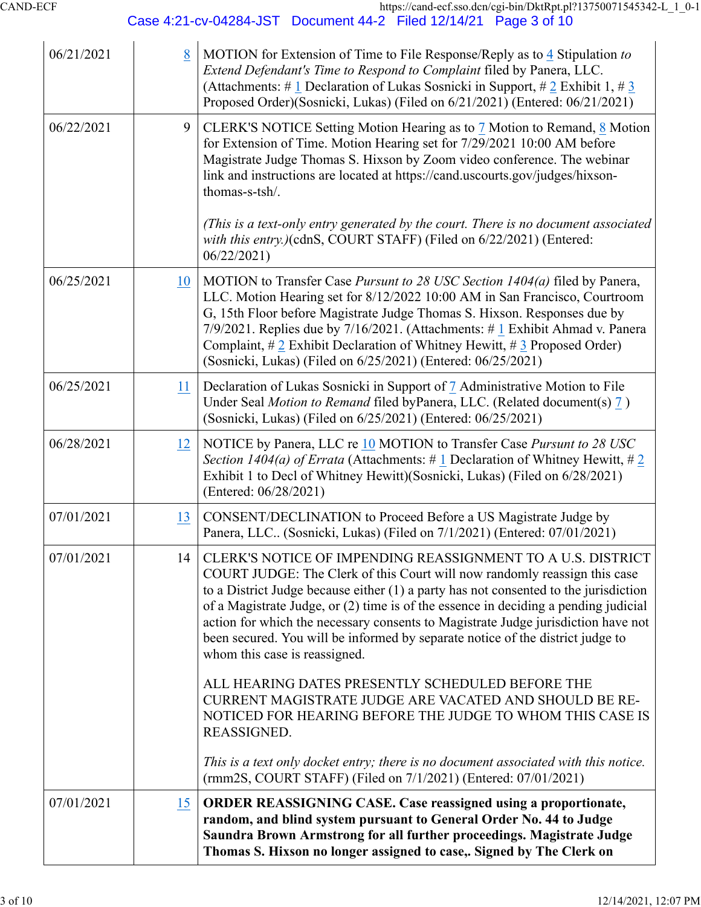06/21/2021 [8](https://ecf.cand.uscourts.gov/doc1/035020731546) MOTION for Extension of Time to File Response/Reply as to [4](https://ecf.cand.uscourts.gov/doc1/035120700093) Stipulation *to Extend Defendant's Time to Respond to Complaint* filed by Panera, LLC. (Attachments: # [1](https://ecf.cand.uscourts.gov/doc1/035120731547) Declaration of Lukas Sosnicki in Support, # [2](https://ecf.cand.uscourts.gov/doc1/035120731548) Exhibit 1, # [3](https://ecf.cand.uscourts.gov/doc1/035120731549) Proposed Order)(Sosnicki, Lukas) (Filed on 6/21/2021) (Entered: 06/21/2021) 06/22/2021 [9](https://cand-ecf.sso.dcn/cgi-bin/DisplayReceipt.pl?379786,27) CLERK'S NOTICE Setting Motion Hearing as to [7](https://ecf.cand.uscourts.gov/doc1/035020730179) Motion to Remand, [8](https://ecf.cand.uscourts.gov/doc1/035020731546) Motion for Extension of Time. Motion Hearing set for 7/29/2021 10:00 AM before Magistrate Judge Thomas S. Hixson by Zoom video conference. The webinar link and instructions are located at https://cand.uscourts.gov/judges/hixsonthomas-s-tsh/. *(This is a text-only entry generated by the court. There is no document associated with this entry.)*(cdnS, COURT STAFF) (Filed on 6/22/2021) (Entered: 06/22/2021) 06/25/2021 [10](https://ecf.cand.uscourts.gov/doc1/035020753457) MOTION to Transfer Case *Pursunt to 28 USC Section 1404(a)* filed by Panera, LLC. Motion Hearing set for 8/12/2022 10:00 AM in San Francisco, Courtroom G, 15th Floor before Magistrate Judge Thomas S. Hixson. Responses due by 7/9/2021. Replies due by 7/16/2021. (Attachments: # [1](https://ecf.cand.uscourts.gov/doc1/035120753458) Exhibit Ahmad v. Panera Complaint,  $\#\underline{2}$  Exhibit Declaration of Whitney Hewitt,  $\#\underline{3}$  Proposed Order) (Sosnicki, Lukas) (Filed on 6/25/2021) (Entered: 06/25/2021) 06/25/2021 **[11](https://ecf.cand.uscourts.gov/doc1/035120753895) Declaration of Lukas Sosnicki in Support of [7](https://ecf.cand.uscourts.gov/doc1/035020730179) Administrative Motion to File** Under Seal *Motion to Remand* filed byPanera, LLC. (Related document(s) [7](https://ecf.cand.uscourts.gov/doc1/035020730179) ) (Sosnicki, Lukas) (Filed on 6/25/2021) (Entered: 06/25/2021) 06/28/2021 [12](https://ecf.cand.uscourts.gov/doc1/035020759280) NOTICE by Panera, LLC re [10](https://ecf.cand.uscourts.gov/doc1/035020753457) MOTION to Transfer Case *Pursunt to 28 USC Section 1404(a) of Errata* (Attachments: # [1](https://ecf.cand.uscourts.gov/doc1/035120759281) Declaration of Whitney Hewitt, # [2](https://ecf.cand.uscourts.gov/doc1/035120759282) Exhibit 1 to Decl of Whitney Hewitt)(Sosnicki, Lukas) (Filed on 6/28/2021) (Entered: 06/28/2021) 07/01/2021 | [13](https://ecf.cand.uscourts.gov/doc1/035120774742) | CONSENT/DECLINATION to Proceed Before a US Magistrate Judge by Panera, LLC.. (Sosnicki, Lukas) (Filed on 7/1/2021) (Entered: 07/01/2021) 07/01/2021 [1](https://cand-ecf.sso.dcn/cgi-bin/DisplayReceipt.pl?379786,42)4 CLERK'S NOTICE OF IMPENDING REASSIGNMENT TO A U.S. DISTRICT COURT JUDGE: The Clerk of this Court will now randomly reassign this case to a District Judge because either (1) a party has not consented to the jurisdiction of a Magistrate Judge, or (2) time is of the essence in deciding a pending judicial action for which the necessary consents to Magistrate Judge jurisdiction have not been secured. You will be informed by separate notice of the district judge to whom this case is reassigned. ALL HEARING DATES PRESENTLY SCHEDULED BEFORE THE CURRENT MAGISTRATE JUDGE ARE VACATED AND SHOULD BE RE-NOTICED FOR HEARING BEFORE THE JUDGE TO WHOM THIS CASE IS REASSIGNED. *This is a text only docket entry; there is no document associated with this notice.* (rmm2S, COURT STAFF) (Filed on 7/1/2021) (Entered: 07/01/2021) 07/01/2021 [15](https://ecf.cand.uscourts.gov/doc1/035120776679) **ORDER REASSIGNING CASE. Case reassigned using a proportionate, random, and blind system pursuant to General Order No. 44 to Judge Saundra Brown Armstrong for all further proceedings. Magistrate Judge Thomas S. Hixson no longer assigned to case,. Signed by The Clerk on**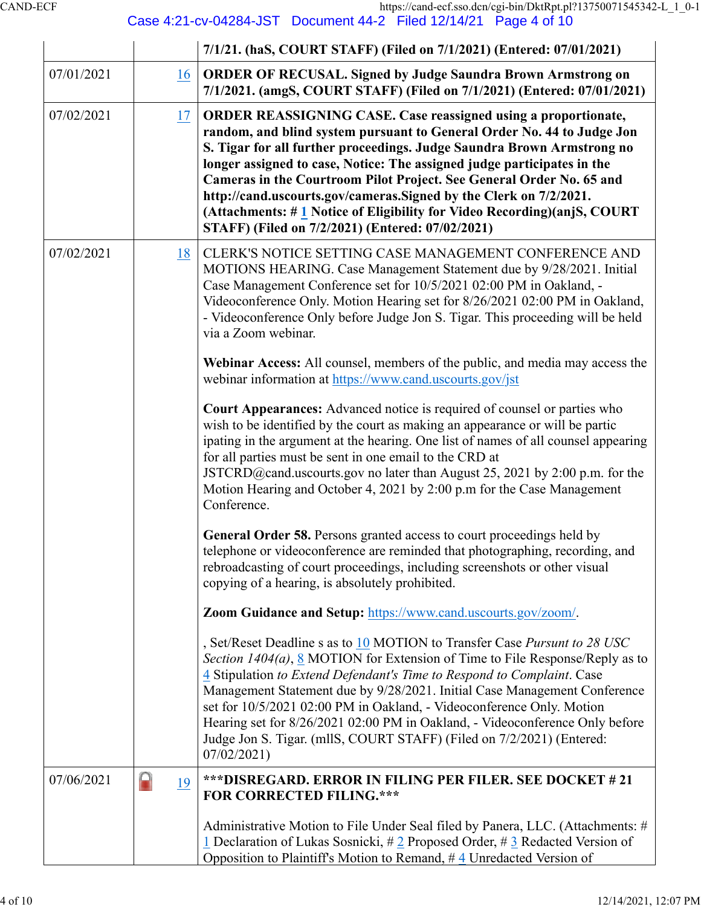CAND-ECF https://cand-ecf.sso.dcn/cgi-bin/DktRpt.pl?13750071545342-L\_1\_0-1

Case 4:21-cv-04284-JST Document 44-2 Filed 12/14/21 Page 4 of 10

|            |         | 7/1/21. (haS, COURT STAFF) (Filed on 7/1/2021) (Entered: 07/01/2021)                                                                                                                                                                                                                                                                                                                                                                                                                                                                                                             |
|------------|---------|----------------------------------------------------------------------------------------------------------------------------------------------------------------------------------------------------------------------------------------------------------------------------------------------------------------------------------------------------------------------------------------------------------------------------------------------------------------------------------------------------------------------------------------------------------------------------------|
| 07/01/2021 | 16      | <b>ORDER OF RECUSAL. Signed by Judge Saundra Brown Armstrong on</b><br>7/1/2021. (amgS, COURT STAFF) (Filed on 7/1/2021) (Entered: 07/01/2021)                                                                                                                                                                                                                                                                                                                                                                                                                                   |
| 07/02/2021 | 17      | <b>ORDER REASSIGNING CASE. Case reassigned using a proportionate,</b><br>random, and blind system pursuant to General Order No. 44 to Judge Jon<br>S. Tigar for all further proceedings. Judge Saundra Brown Armstrong no<br>longer assigned to case, Notice: The assigned judge participates in the<br>Cameras in the Courtroom Pilot Project. See General Order No. 65 and<br>http://cand.uscourts.gov/cameras.Signed by the Clerk on 7/2/2021.<br>(Attachments: #1 Notice of Eligibility for Video Recording)(anjS, COURT<br>STAFF) (Filed on 7/2/2021) (Entered: 07/02/2021) |
| 07/02/2021 | 18      | CLERK'S NOTICE SETTING CASE MANAGEMENT CONFERENCE AND<br>MOTIONS HEARING. Case Management Statement due by 9/28/2021. Initial<br>Case Management Conference set for 10/5/2021 02:00 PM in Oakland, -<br>Videoconference Only. Motion Hearing set for 8/26/2021 02:00 PM in Oakland,<br>- Videoconference Only before Judge Jon S. Tigar. This proceeding will be held<br>via a Zoom webinar.                                                                                                                                                                                     |
|            |         | Webinar Access: All counsel, members of the public, and media may access the<br>webinar information at https://www.cand.uscourts.gov/jst                                                                                                                                                                                                                                                                                                                                                                                                                                         |
|            |         | <b>Court Appearances:</b> Advanced notice is required of counsel or parties who<br>wish to be identified by the court as making an appearance or will be partic<br>ipating in the argument at the hearing. One list of names of all counsel appearing<br>for all parties must be sent in one email to the CRD at<br>JSTCRD@cand.uscourts.gov no later than August 25, 2021 by 2:00 p.m. for the<br>Motion Hearing and October 4, 2021 by 2:00 p.m for the Case Management<br>Conference.                                                                                         |
|            |         | <b>General Order 58.</b> Persons granted access to court proceedings held by<br>telephone or videoconference are reminded that photographing, recording, and<br>rebroadcasting of court proceedings, including screenshots or other visual<br>copying of a hearing, is absolutely prohibited.                                                                                                                                                                                                                                                                                    |
|            |         | Zoom Guidance and Setup: https://www.cand.uscourts.gov/zoom/.                                                                                                                                                                                                                                                                                                                                                                                                                                                                                                                    |
|            |         | , Set/Reset Deadline s as to 10 MOTION to Transfer Case Pursunt to 28 USC<br>Section $1404(a)$ , 8 MOTION for Extension of Time to File Response/Reply as to<br>4 Stipulation to Extend Defendant's Time to Respond to Complaint. Case<br>Management Statement due by 9/28/2021. Initial Case Management Conference<br>set for 10/5/2021 02:00 PM in Oakland, - Videoconference Only. Motion<br>Hearing set for 8/26/2021 02:00 PM in Oakland, - Videoconference Only before<br>Judge Jon S. Tigar. (mllS, COURT STAFF) (Filed on 7/2/2021) (Entered:<br>07/02/2021              |
| 07/06/2021 | н<br>19 | ***DISREGARD. ERROR IN FILING PER FILER. SEE DOCKET # 21<br><b>FOR CORRECTED FILING.***</b>                                                                                                                                                                                                                                                                                                                                                                                                                                                                                      |
|            |         | Administrative Motion to File Under Seal filed by Panera, LLC. (Attachments: #<br>1 Declaration of Lukas Sosnicki, $\# 2$ Proposed Order, $\# 3$ Redacted Version of<br>Opposition to Plaintiff's Motion to Remand, #4 Unredacted Version of                                                                                                                                                                                                                                                                                                                                     |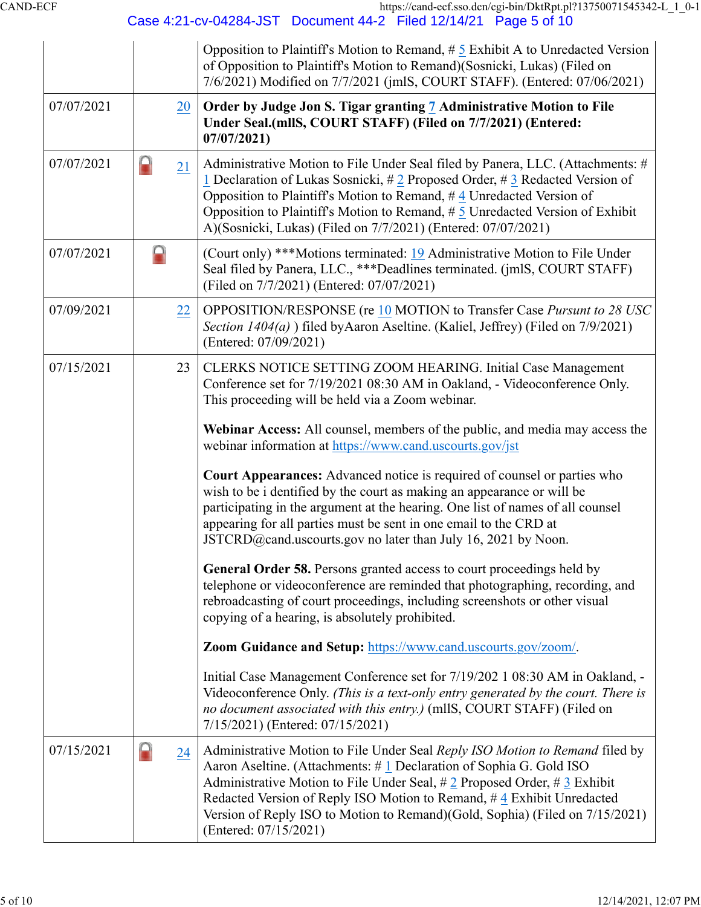CAND-ECF https://cand-ecf.sso.dcn/cgi-bin/DktRpt.pl?13750071545342-L\_1\_0-1

Case 4:21-cv-04284-JST Document 44-2 Filed 12/14/21 Page 5 of 10

|            |         | Opposition to Plaintiff's Motion to Remand, $\# 5$ Exhibit A to Unredacted Version<br>of Opposition to Plaintiff's Motion to Remand) (Sosnicki, Lukas) (Filed on<br>7/6/2021) Modified on 7/7/2021 (jmlS, COURT STAFF). (Entered: 07/06/2021)                                                                                                                                                                           |
|------------|---------|-------------------------------------------------------------------------------------------------------------------------------------------------------------------------------------------------------------------------------------------------------------------------------------------------------------------------------------------------------------------------------------------------------------------------|
| 07/07/2021 | 20      | Order by Judge Jon S. Tigar granting 7 Administrative Motion to File<br>Under Seal.(mllS, COURT STAFF) (Filed on 7/7/2021) (Entered:<br>07/07/2021                                                                                                                                                                                                                                                                      |
| 07/07/2021 | A<br>21 | Administrative Motion to File Under Seal filed by Panera, LLC. (Attachments: #<br>1 Declaration of Lukas Sosnicki, # 2 Proposed Order, # 3 Redacted Version of<br>Opposition to Plaintiff's Motion to Remand, $\#$ 4 Unredacted Version of<br>Opposition to Plaintiff's Motion to Remand, $# 5$ Unredacted Version of Exhibit<br>A)(Sosnicki, Lukas) (Filed on 7/7/2021) (Entered: 07/07/2021)                          |
| 07/07/2021 | O       | (Court only) ***Motions terminated: 19 Administrative Motion to File Under<br>Seal filed by Panera, LLC., ***Deadlines terminated. (jmlS, COURT STAFF)<br>(Filed on 7/7/2021) (Entered: 07/07/2021)                                                                                                                                                                                                                     |
| 07/09/2021 | 22      | OPPOSITION/RESPONSE (re 10 MOTION to Transfer Case Pursunt to 28 USC<br>Section 1404(a) ) filed by Aaron Aseltine. (Kaliel, Jeffrey) (Filed on 7/9/2021)<br>(Entered: 07/09/2021)                                                                                                                                                                                                                                       |
| 07/15/2021 | 23      | CLERKS NOTICE SETTING ZOOM HEARING. Initial Case Management<br>Conference set for 7/19/2021 08:30 AM in Oakland, - Videoconference Only.<br>This proceeding will be held via a Zoom webinar.                                                                                                                                                                                                                            |
|            |         | Webinar Access: All counsel, members of the public, and media may access the<br>webinar information at https://www.cand.uscourts.gov/jst                                                                                                                                                                                                                                                                                |
|            |         | <b>Court Appearances:</b> Advanced notice is required of counsel or parties who<br>wish to be i dentified by the court as making an appearance or will be<br>participating in the argument at the hearing. One list of names of all counsel<br>appearing for all parties must be sent in one email to the CRD at<br>JSTCRD@cand.uscourts.gov no later than July 16, 2021 by Noon.                                       |
|            |         | General Order 58. Persons granted access to court proceedings held by<br>telephone or videoconference are reminded that photographing, recording, and<br>rebroadcasting of court proceedings, including screenshots or other visual<br>copying of a hearing, is absolutely prohibited.                                                                                                                                  |
|            |         | Zoom Guidance and Setup: https://www.cand.uscourts.gov/zoom/.                                                                                                                                                                                                                                                                                                                                                           |
|            |         | Initial Case Management Conference set for 7/19/202 1 08:30 AM in Oakland, -<br>Videoconference Only. (This is a text-only entry generated by the court. There is<br>no document associated with this entry.) (mllS, COURT STAFF) (Filed on<br>7/15/2021) (Entered: 07/15/2021)                                                                                                                                         |
| 07/15/2021 | A<br>24 | Administrative Motion to File Under Seal Reply ISO Motion to Remand filed by<br>Aaron Aseltine. (Attachments: #1 Declaration of Sophia G. Gold ISO<br>Administrative Motion to File Under Seal, $\#$ 2 Proposed Order, $\#$ 3 Exhibit<br>Redacted Version of Reply ISO Motion to Remand, #4 Exhibit Unredacted<br>Version of Reply ISO to Motion to Remand)(Gold, Sophia) (Filed on 7/15/2021)<br>(Entered: 07/15/2021) |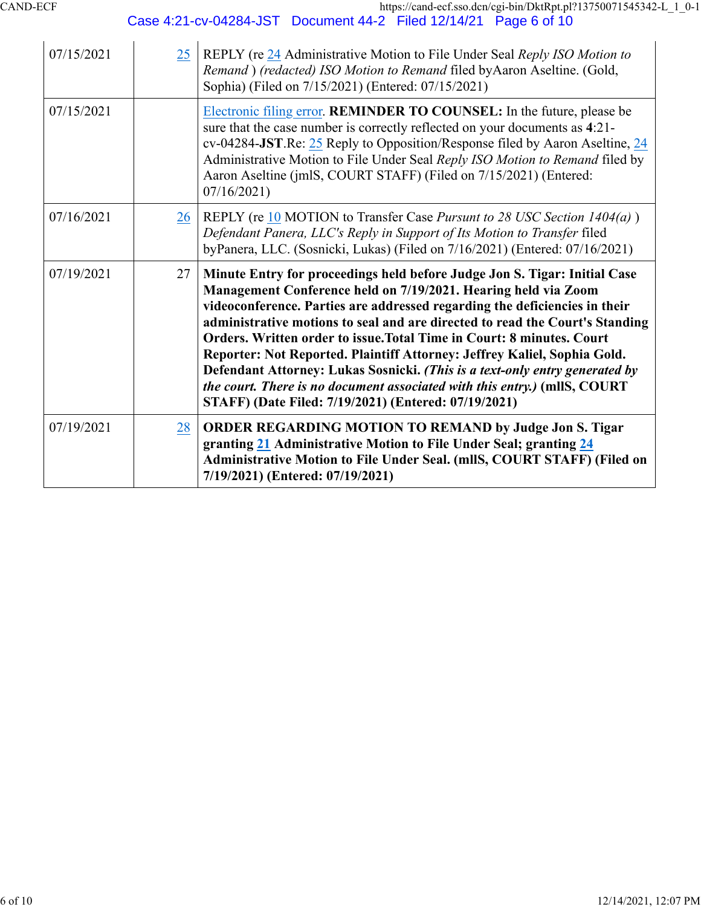| 07/15/2021 | 25        | REPLY (re 24 Administrative Motion to File Under Seal Reply ISO Motion to<br>Remand) (redacted) ISO Motion to Remand filed by Aaron Aseltine. (Gold,<br>Sophia) (Filed on 7/15/2021) (Entered: 07/15/2021)                                                                                                                                                                                                                                                                                                                                                                                                                                                                         |
|------------|-----------|------------------------------------------------------------------------------------------------------------------------------------------------------------------------------------------------------------------------------------------------------------------------------------------------------------------------------------------------------------------------------------------------------------------------------------------------------------------------------------------------------------------------------------------------------------------------------------------------------------------------------------------------------------------------------------|
| 07/15/2021 |           | Electronic filing error. REMINDER TO COUNSEL: In the future, please be<br>sure that the case number is correctly reflected on your documents as 4:21-<br>cv-04284-JST.Re: 25 Reply to Opposition/Response filed by Aaron Aseltine, 24<br>Administrative Motion to File Under Seal Reply ISO Motion to Remand filed by<br>Aaron Aseltine (jmlS, COURT STAFF) (Filed on 7/15/2021) (Entered:<br>07/16/2021                                                                                                                                                                                                                                                                           |
| 07/16/2021 | 26        | REPLY (re 10 MOTION to Transfer Case Pursunt to 28 USC Section $1404(a)$ )<br>Defendant Panera, LLC's Reply in Support of Its Motion to Transfer filed<br>byPanera, LLC. (Sosnicki, Lukas) (Filed on 7/16/2021) (Entered: 07/16/2021)                                                                                                                                                                                                                                                                                                                                                                                                                                              |
| 07/19/2021 | 27        | Minute Entry for proceedings held before Judge Jon S. Tigar: Initial Case<br>Management Conference held on 7/19/2021. Hearing held via Zoom<br>videoconference. Parties are addressed regarding the deficiencies in their<br>administrative motions to seal and are directed to read the Court's Standing<br>Orders. Written order to issue. Total Time in Court: 8 minutes. Court<br>Reporter: Not Reported. Plaintiff Attorney: Jeffrey Kaliel, Sophia Gold.<br>Defendant Attorney: Lukas Sosnicki. (This is a text-only entry generated by<br>the court. There is no document associated with this entry.) (mllS, COURT<br>STAFF) (Date Filed: 7/19/2021) (Entered: 07/19/2021) |
| 07/19/2021 | <u>28</u> | ORDER REGARDING MOTION TO REMAND by Judge Jon S. Tigar<br>granting 21 Administrative Motion to File Under Seal; granting 24<br>Administrative Motion to File Under Seal. (mllS, COURT STAFF) (Filed on<br>7/19/2021) (Entered: 07/19/2021)                                                                                                                                                                                                                                                                                                                                                                                                                                         |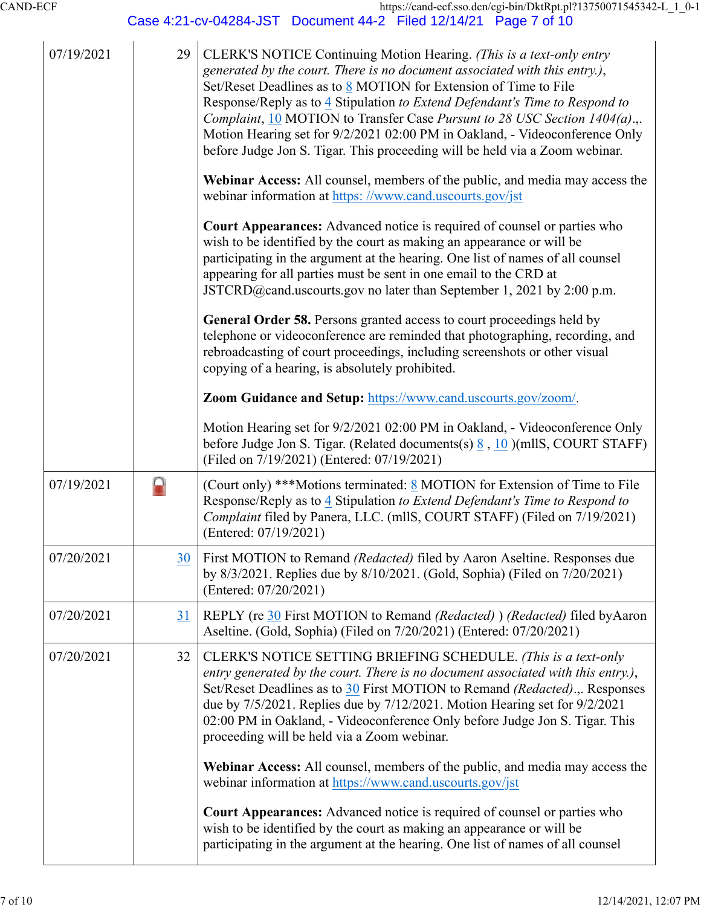Case 4:21-cv-04284-JST Document 44-2 Filed 12/14/21 Page 7 of 10

| 07/19/2021 | 29        | CLERK'S NOTICE Continuing Motion Hearing. (This is a text-only entry<br>generated by the court. There is no document associated with this entry.),<br>Set/Reset Deadlines as to 8 MOTION for Extension of Time to File<br>Response/Reply as to 4 Stipulation to Extend Defendant's Time to Respond to<br>Complaint, 10 MOTION to Transfer Case Pursunt to 28 USC Section 1404(a).,.<br>Motion Hearing set for 9/2/2021 02:00 PM in Oakland, - Videoconference Only<br>before Judge Jon S. Tigar. This proceeding will be held via a Zoom webinar. |
|------------|-----------|---------------------------------------------------------------------------------------------------------------------------------------------------------------------------------------------------------------------------------------------------------------------------------------------------------------------------------------------------------------------------------------------------------------------------------------------------------------------------------------------------------------------------------------------------|
|            |           | Webinar Access: All counsel, members of the public, and media may access the<br>webinar information at https://www.cand.uscourts.gov/jst                                                                                                                                                                                                                                                                                                                                                                                                          |
|            |           | <b>Court Appearances:</b> Advanced notice is required of counsel or parties who<br>wish to be identified by the court as making an appearance or will be<br>participating in the argument at the hearing. One list of names of all counsel<br>appearing for all parties must be sent in one email to the CRD at<br>JSTCRD@cand.uscourts.gov no later than September 1, 2021 by 2:00 p.m.                                                                                                                                                          |
|            |           | General Order 58. Persons granted access to court proceedings held by<br>telephone or videoconference are reminded that photographing, recording, and<br>rebroadcasting of court proceedings, including screenshots or other visual<br>copying of a hearing, is absolutely prohibited.                                                                                                                                                                                                                                                            |
|            |           | Zoom Guidance and Setup: https://www.cand.uscourts.gov/zoom/.                                                                                                                                                                                                                                                                                                                                                                                                                                                                                     |
|            |           | Motion Hearing set for 9/2/2021 02:00 PM in Oakland, - Videoconference Only<br>before Judge Jon S. Tigar. (Related documents(s) $\frac{8}{9}$ , 10 )(mllS, COURT STAFF)<br>(Filed on 7/19/2021) (Entered: 07/19/2021)                                                                                                                                                                                                                                                                                                                             |
| 07/19/2021 | ◘         | (Court only) ***Motions terminated: 8 MOTION for Extension of Time to File<br>Response/Reply as to 4 Stipulation to Extend Defendant's Time to Respond to<br>Complaint filed by Panera, LLC. (mllS, COURT STAFF) (Filed on 7/19/2021)<br>(Entered: 07/19/2021)                                                                                                                                                                                                                                                                                    |
| 07/20/2021 | 30        | First MOTION to Remand (Redacted) filed by Aaron Aseltine. Responses due<br>by 8/3/2021. Replies due by 8/10/2021. (Gold, Sophia) (Filed on 7/20/2021)<br>(Entered: 07/20/2021)                                                                                                                                                                                                                                                                                                                                                                   |
| 07/20/2021 | <b>31</b> | REPLY (re 30 First MOTION to Remand (Redacted) ) (Redacted) filed by Aaron<br>Aseltine. (Gold, Sophia) (Filed on 7/20/2021) (Entered: 07/20/2021)                                                                                                                                                                                                                                                                                                                                                                                                 |
| 07/20/2021 | 32        | CLERK'S NOTICE SETTING BRIEFING SCHEDULE. (This is a text-only<br>entry generated by the court. There is no document associated with this entry.),<br>Set/Reset Deadlines as to 30 First MOTION to Remand (Redacted)., Responses<br>due by 7/5/2021. Replies due by 7/12/2021. Motion Hearing set for 9/2/2021<br>02:00 PM in Oakland, - Videoconference Only before Judge Jon S. Tigar. This<br>proceeding will be held via a Zoom webinar.                                                                                                      |
|            |           | Webinar Access: All counsel, members of the public, and media may access the<br>webinar information at https://www.cand.uscourts.gov/jst                                                                                                                                                                                                                                                                                                                                                                                                          |
|            |           | <b>Court Appearances:</b> Advanced notice is required of counsel or parties who<br>wish to be identified by the court as making an appearance or will be<br>participating in the argument at the hearing. One list of names of all counsel                                                                                                                                                                                                                                                                                                        |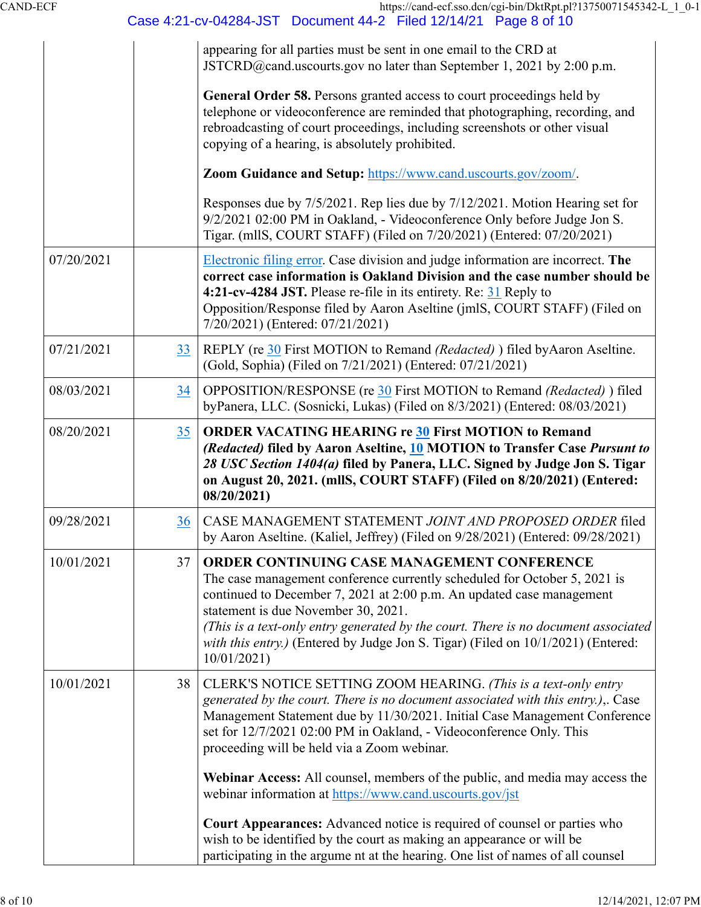| CAND-ECF |
|----------|
|----------|

|            |    | Case 4:21-cv-04284-JST Document 44-2 Filed 12/14/21 Page 8 of 10                                                                                                                                                                                                                                                                                                                                                                 |
|------------|----|----------------------------------------------------------------------------------------------------------------------------------------------------------------------------------------------------------------------------------------------------------------------------------------------------------------------------------------------------------------------------------------------------------------------------------|
|            |    | appearing for all parties must be sent in one email to the CRD at<br>JSTCRD@cand.uscourts.gov no later than September 1, 2021 by 2:00 p.m.                                                                                                                                                                                                                                                                                       |
|            |    | General Order 58. Persons granted access to court proceedings held by<br>telephone or videoconference are reminded that photographing, recording, and<br>rebroadcasting of court proceedings, including screenshots or other visual<br>copying of a hearing, is absolutely prohibited.                                                                                                                                           |
|            |    | Zoom Guidance and Setup: https://www.cand.uscourts.gov/zoom/.                                                                                                                                                                                                                                                                                                                                                                    |
|            |    | Responses due by 7/5/2021. Rep lies due by 7/12/2021. Motion Hearing set for<br>9/2/2021 02:00 PM in Oakland, - Videoconference Only before Judge Jon S.<br>Tigar. (mllS, COURT STAFF) (Filed on 7/20/2021) (Entered: 07/20/2021)                                                                                                                                                                                                |
| 07/20/2021 |    | Electronic filing error. Case division and judge information are incorrect. The<br>correct case information is Oakland Division and the case number should be<br>4:21-cv-4284 JST. Please re-file in its entirety. Re: 31 Reply to<br>Opposition/Response filed by Aaron Aseltine (jmlS, COURT STAFF) (Filed on<br>7/20/2021) (Entered: 07/21/2021)                                                                              |
| 07/21/2021 | 33 | REPLY (re 30 First MOTION to Remand (Redacted) ) filed by Aaron Aseltine.<br>(Gold, Sophia) (Filed on 7/21/2021) (Entered: 07/21/2021)                                                                                                                                                                                                                                                                                           |
| 08/03/2021 | 34 | OPPOSITION/RESPONSE (re 30 First MOTION to Remand (Redacted)) filed<br>byPanera, LLC. (Sosnicki, Lukas) (Filed on 8/3/2021) (Entered: 08/03/2021)                                                                                                                                                                                                                                                                                |
| 08/20/2021 | 35 | <b>ORDER VACATING HEARING re 30 First MOTION to Remand</b><br>(Redacted) filed by Aaron Aseltine, 10 MOTION to Transfer Case Pursunt to<br>28 USC Section 1404(a) filed by Panera, LLC. Signed by Judge Jon S. Tigar<br>on August 20, 2021. (mllS, COURT STAFF) (Filed on 8/20/2021) (Entered:<br>08/20/2021                                                                                                                     |
| 09/28/2021 | 36 | CASE MANAGEMENT STATEMENT JOINT AND PROPOSED ORDER filed<br>by Aaron Aseltine. (Kaliel, Jeffrey) (Filed on 9/28/2021) (Entered: 09/28/2021)                                                                                                                                                                                                                                                                                      |
| 10/01/2021 | 37 | ORDER CONTINUING CASE MANAGEMENT CONFERENCE<br>The case management conference currently scheduled for October 5, 2021 is<br>continued to December 7, 2021 at 2:00 p.m. An updated case management<br>statement is due November 30, 2021.<br>(This is a text-only entry generated by the court. There is no document associated<br>with this entry.) (Entered by Judge Jon S. Tigar) (Filed on 10/1/2021) (Entered:<br>10/01/2021 |
| 10/01/2021 | 38 | CLERK'S NOTICE SETTING ZOOM HEARING. (This is a text-only entry<br>generated by the court. There is no document associated with this entry.),. Case<br>Management Statement due by 11/30/2021. Initial Case Management Conference<br>set for 12/7/2021 02:00 PM in Oakland, - Videoconference Only. This<br>proceeding will be held via a Zoom webinar.                                                                          |
|            |    | Webinar Access: All counsel, members of the public, and media may access the<br>webinar information at https://www.cand.uscourts.gov/jst                                                                                                                                                                                                                                                                                         |
|            |    | Court Appearances: Advanced notice is required of counsel or parties who<br>wish to be identified by the court as making an appearance or will be<br>participating in the argume nt at the hearing. One list of names of all counsel                                                                                                                                                                                             |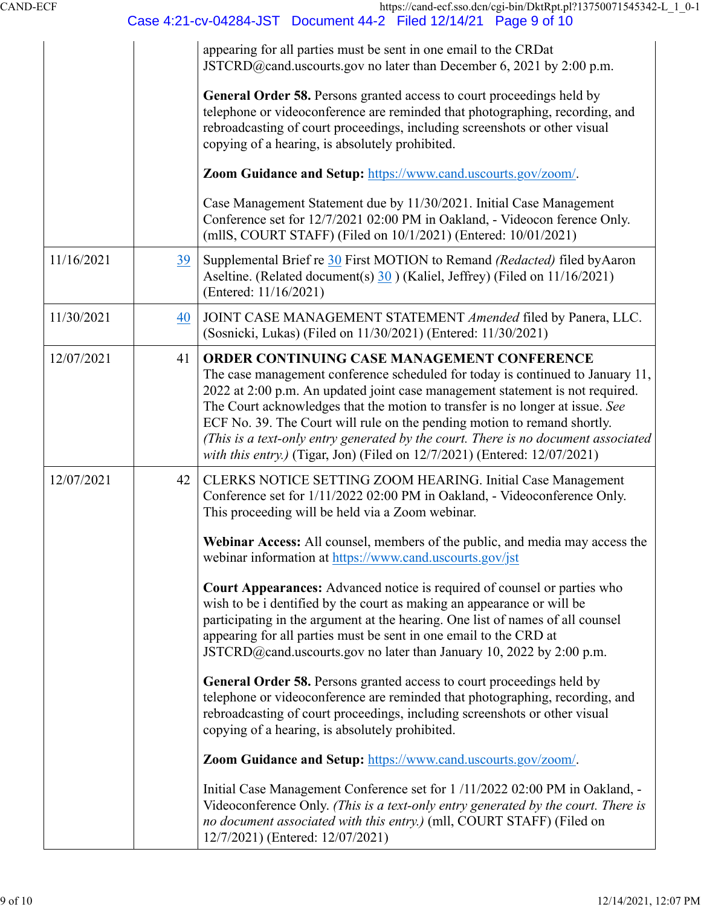|            |    | Case 4:21-cv-04284-JST  Document 44-2  Filed 12/14/21  Page 9 of 10                                                                                                                                                                                                                                                                                                                                                                                                                                                                            |
|------------|----|------------------------------------------------------------------------------------------------------------------------------------------------------------------------------------------------------------------------------------------------------------------------------------------------------------------------------------------------------------------------------------------------------------------------------------------------------------------------------------------------------------------------------------------------|
|            |    | appearing for all parties must be sent in one email to the CRDat<br>JSTCRD@cand.uscourts.gov no later than December 6, 2021 by 2:00 p.m.                                                                                                                                                                                                                                                                                                                                                                                                       |
|            |    | General Order 58. Persons granted access to court proceedings held by<br>telephone or videoconference are reminded that photographing, recording, and<br>rebroadcasting of court proceedings, including screenshots or other visual<br>copying of a hearing, is absolutely prohibited.                                                                                                                                                                                                                                                         |
|            |    | Zoom Guidance and Setup: https://www.cand.uscourts.gov/zoom/.                                                                                                                                                                                                                                                                                                                                                                                                                                                                                  |
|            |    | Case Management Statement due by 11/30/2021. Initial Case Management<br>Conference set for 12/7/2021 02:00 PM in Oakland, - Videocon ference Only.<br>(mllS, COURT STAFF) (Filed on 10/1/2021) (Entered: 10/01/2021)                                                                                                                                                                                                                                                                                                                           |
| 11/16/2021 | 39 | Supplemental Brief re 30 First MOTION to Remand (Redacted) filed by Aaron<br>Aseltine. (Related document(s) 30) (Kaliel, Jeffrey) (Filed on 11/16/2021)<br>(Entered: 11/16/2021)                                                                                                                                                                                                                                                                                                                                                               |
| 11/30/2021 | 40 | JOINT CASE MANAGEMENT STATEMENT Amended filed by Panera, LLC.<br>(Sosnicki, Lukas) (Filed on 11/30/2021) (Entered: 11/30/2021)                                                                                                                                                                                                                                                                                                                                                                                                                 |
| 12/07/2021 | 41 | ORDER CONTINUING CASE MANAGEMENT CONFERENCE<br>The case management conference scheduled for today is continued to January 11,<br>2022 at 2:00 p.m. An updated joint case management statement is not required.<br>The Court acknowledges that the motion to transfer is no longer at issue. See<br>ECF No. 39. The Court will rule on the pending motion to remand shortly.<br>(This is a text-only entry generated by the court. There is no document associated<br>with this entry.) (Tigar, Jon) (Filed on 12/7/2021) (Entered: 12/07/2021) |
| 12/07/2021 | 42 | CLERKS NOTICE SETTING ZOOM HEARING. Initial Case Management<br>Conference set for 1/11/2022 02:00 PM in Oakland, - Videoconference Only.<br>This proceeding will be held via a Zoom webinar.                                                                                                                                                                                                                                                                                                                                                   |
|            |    | Webinar Access: All counsel, members of the public, and media may access the<br>webinar information at https://www.cand.uscourts.gov/jst                                                                                                                                                                                                                                                                                                                                                                                                       |
|            |    | <b>Court Appearances:</b> Advanced notice is required of counsel or parties who<br>wish to be i dentified by the court as making an appearance or will be<br>participating in the argument at the hearing. One list of names of all counsel<br>appearing for all parties must be sent in one email to the CRD at<br>JSTCRD@cand.uscourts.gov no later than January 10, 2022 by 2:00 p.m.                                                                                                                                                       |
|            |    | General Order 58. Persons granted access to court proceedings held by<br>telephone or videoconference are reminded that photographing, recording, and<br>rebroadcasting of court proceedings, including screenshots or other visual<br>copying of a hearing, is absolutely prohibited.                                                                                                                                                                                                                                                         |
|            |    | Zoom Guidance and Setup: https://www.cand.uscourts.gov/zoom/.                                                                                                                                                                                                                                                                                                                                                                                                                                                                                  |
|            |    | Initial Case Management Conference set for 1/11/2022 02:00 PM in Oakland, -<br>Videoconference Only. (This is a text-only entry generated by the court. There is<br>no document associated with this entry.) (mll, COURT STAFF) (Filed on<br>12/7/2021) (Entered: 12/07/2021)                                                                                                                                                                                                                                                                  |